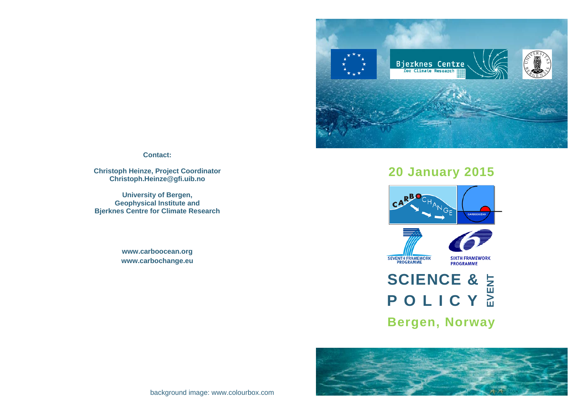

**Contact:** 

**Christoph Heinze, Project Coordinator Christoph.Heinze@gfi.uib.no** 

**University of Bergen, Geophysical Institute and Bjerknes Centre for Climate Research** 

> **www.carboocean.org www.carbochange.eu**

# **20 January 2015**





# **POLICY EVENT SCIENCE &**

**Bergen, Norway** 



background image: www.colourbox.com